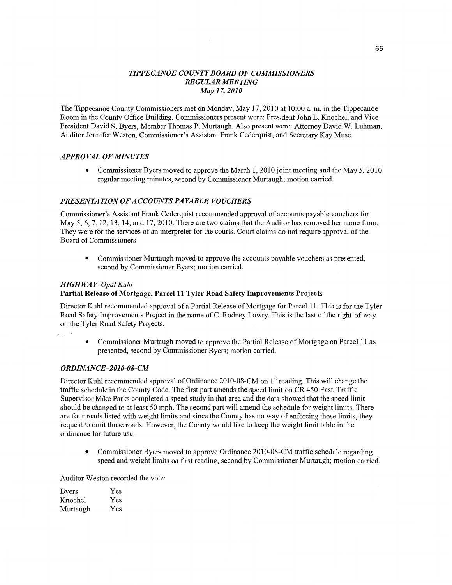# *TIPPECANOE* co *UNTYBOARD* OF *COMMISSIONERS REGULAR MEETING May 17, 2010*

The Tippecanoe County Commissioners met on Monday, May 17, **2010** at **10:00** a. m. in the Tippecanoe Room in the **County** Office Building. Commissioners present were: President John L. Knochel, and **Vice**  President **David** S. Byers, Member Thomas P. Murtaugh. Also present were: Attorney David W. Luhman, Auditor Jennifer Weston, Commissioner's Assistant Frank Cederquist, and Secretary Kay Muse.

## *APPROVAL* OF *MINUTES*

**0** Commissioner Byers moved to **approve** the March 1, 2010 **joint** meeting and the May 5, 2010 regular meeting minutes, second by Commissioner Murtaugh; motion carried.

## *PRESENTATION* OF *ACCOUNTS PAYABLE VOUCHERS*

Commissioner's Assistant Frank Cederquist **recommended** approval of accounts payable **vouchers** for May 5, 6, 7, 12, 13, 14, and 17, 2010. There are two claims **that** the **Auditor** has removed her name **from.**  They were for the **services** of an interpreter for the **comts. Court claims** do not require **approval** of the Board of **Commissioners** 

**0** Commissioner Murtaugh **moved** to approve the accounts payable vouchers as presented, second by Commissioner Byers; motion carried.

### *HIGH* WA *Y—Opal Kuhl*

### **Partial Release** of **Mortgage, Parcel** 11 Tyler **Road Safety Improvements Projects**

Director Kuhl recommended approval of a **Partial** Release of Mortgage for Parcel 11. This is for the Tyler Road **Safety** Improvements Project in the **name** of C. Rodney Lowry. **This** is the last of the right-of-way on the Tyler Road Safety Projects.

**0** Commissioner Murtaugh moved to approve the Partial Release of Mortgage on Parcel 11 as presented, second by **Commissioner** Byers; **motion** carried.

### *ORDINANCE—2* 01 *0-08-* CM

Director Kuhl recommended approval of Ordinance 2010-08-CM on 1<sup>st</sup> reading. This will change the traffic schedule in the County Code. The first part amends the speed limit on CR 450 East. Traffic Supervisor Mike Parks completed a speed study in that area and the data showed **that** the speed limit should be changed to at least 50 mph. The second part will **amend** the schedule for weight limits. There are four roads listed with weight **limits** and **since** the County has no way of enforcing **those** limits, they request to omit those roads. However, the County would like to keep the weight **limit** table in the ordinance for future use.

• Commissioner Byers moved to approve Ordinance 2010-08-CM traffic schedule regarding speed and weight limits on **first** reading, second by Commissioner Murtaugh; motion carried.

Auditor Weston recorded the vote:

| <b>Byers</b> | Yes |
|--------------|-----|
| Knochel      | Yes |
| Murtaugh     | Yes |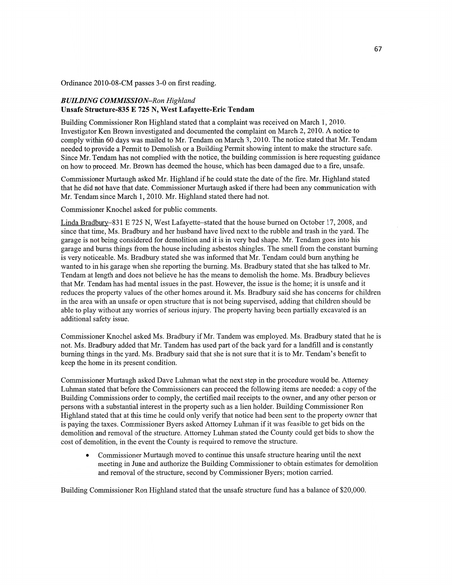Ordinance 2010-08-CM passes 3-0 on first reading.

## *BUILDING COMMISSION—Ron Highland*  **Unsafe** Structure-835 **E** 725 N, **West Lafayette-Eric Tendam**

Building Commissioner Ron Highland stated **that** a complaint was received on March 1, 2010. Investigator Ken Brown investigated and documented the complaint on March 2, 2010. A notice to comply Within 60 days was mailed to Mr. Tendam on March 3, 2010. The notice stated that Mr. Tendam needed to provide a Permit to Demolish or <sup>a</sup>Building **Permit** showing intent to make the structure safe. Since Mr. **Tendam** has not complied With the notice, the building commission is here requesting guidance on how to proceed. Mr. Brown has deemed the house, which has been damaged due to a fire, unsafe.

Commissioner Murtaugh asked Mr. Highland if he could state the date of the **fire.** Mr. Highland stated that he did not have that date. Commissioner Murtaugh asked if there had been any communication with Mr. Tendam since March 1, 2010. Mr. Highland stated there had not.

Commissioner Knochel asked for public comments.

Linda Bradbury–831 E 725 N, West Lafayette–stated that the house burned on October 17, 2008, and since that **time,** Ms. Bradbury and her husband have lived next to the rubble and trash in the yard. The garage is not being considered for demolition and it is in very bad shape. Mr. Tendam goes into his garage and burns things from the house including asbestos shingles. The smell from the constant burning is very noticeable. Ms. Bradbury stated she was informed that Mr. **Tendarn** could burn anything he wanted to in his garage when she reporting the burning. Ms. Bradbury stated that she has talked to Mr. Tendam at length and does not believe he has the **means** to demolish the home. Ms. Bradbury believes that Mr. Tendam has had mental issues in the past. However, the issue is the home; it is unsafe and it reduces the property values of the other homes around it. Ms. Bradbury said she has concerns for children in the area with an unsafe or open structure that is not being supervised, adding that children should be able to play without any worries of serious injury. The property having been partially excavated is an additional safety issue.

Commissioner Knochel asked Ms. Bradbury if Mr. Tandem was employed. Ms. Bradbury stated that he is **not.** Ms. Bradbury **added** that Mr. Tandem has used part of the back yard for a landfill and is constantly burning things in the yard. Ms. Bradbury said that she is not sure that it is to Mr. Tendam's benefit to keep the **home** in its present condition.

Commissioner Murtaugh asked Dave Luhman what the next step in the procedure would be. Attorney Luhman stated **that** before the Commissioners can proceed the following items are needed: a copy of the Building Commissions order to comply, the certified mail receipts to the owner, and any other person or persons with a substantial interest in the property **such** as a lien holder. Building Commissioner Ron Highland stated that at this time he could only verify **that** notice had been sent to the property owner that is paying the taxes. Commissioner Byers asked Attorney Luhman if it was feasible to get bids on the demolition and removal of the structure. Attorney Luhman stated the County could get bids to show the **cost** of demolition, in the event the County is required to remove the structure.

**0** Commissioner Murtaugh moved to continue **this** unsafe structure hearing until the next meeting in June and authorize the Building Commissioner to obtain estimates for demolition and removal of the structure, second by Commissioner Byers; motion carried.

Building Commissioner Ron Highland stated that the unsafe structure fund has a balance of \$20,000.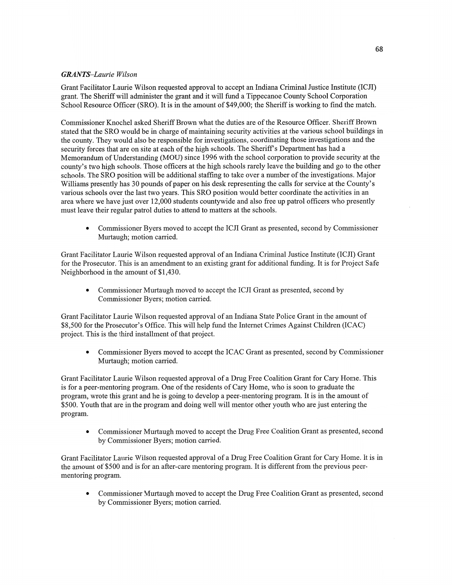## *GRANTS-Laurie Wilson*

Grant Facilitator Laurie Wilson requested approval to accept an Indiana **Criminal** Justice Institute (ICJI) grant. The Sheriff Will administer the grant and it will filnd a Tippecanoe County School Corporation School Resource Officer (SRO). It is in the amount of \$49,000; the Sheriff is working to find the match.

Commissioner Knochel asked Sheriff Brown What the duties are of the Resource Officer. Sheriff Brown stated that the SRO would be in charge of maintaining security activities at the various school buildings in the county. They would also be responsible for investigations, coordinating those investigations and the security forces that are on site at each of the high schools. The Sheriff's Department has had a Memorandum of Understanding (MOU) **since** 1996 with the school corporation to provide security at the county's two high schools. Those officers at the high schools rarely leave the building and go to the other schools. The SRO position will be additional staffing to take over **a** number of the investigations. Major Williams presently has 30 pounds of paper on his desk representing the calls for service at the County's various schools over the last two years. This SRO position would better coordinate the activities in an area Where we **have** just over 12,000 students countywide and also free up patrol officers who presently must leave their regular patrol duties to attend to matters at the schools.

**0** Commissioner Byers moved to accept the ICJI Grant as presented, second by Commissioner Murtaugh; motion carried.

Grant Facilitator Laurie Wilson requested approval of an Indiana Criminal Justice Institute (ICJI) Grant for the Prosecutor. This is an amendment to an existing grant for additional funding. It is for Project Safe Neighborhood in the amount of \$1,430.

**0** Commissioner Murtaugh moved to accept the ICJI Grant as presented, second by Commissioner Byers; motion carried.

Grant Facilitator Laurie Wilson requested approval of an Indiana State Police Grant in the amount of \$8,500 for the Prosecutor's Office. **This** will help fimd the Internet Crimes Against Children (ICAC) project. This is the third installment of that project.

**0** Commissioner Byers moved to accept the ICAC Grant as presented, second by Commissioner Murtaugh; motion carried.

Grant Facilitator Laurie Wilson requested approval of a Drug Free Coalition Grant for Cary Home. **This**  is for a peer-mentoring program. One of the residents of Cary **Home,** Who is soon to graduate the program, wrote **this** grant and he is going to develop *a* peer-mentoring program. It is in the amount of \$500. Youth **that** are in the program and doing well will mentor other youth who are just entering the program.

**0** Commissioner Murtaugh moved to accept the Drug Free Coalition **Grant** as presented, second by Commissioner Byers; **motion** carried.

Grant Facilitator Laurie Wilson requested approval of **a** Drug Free Coalition Grant for Cary Home. It is in the amount of \$500 and is for an after-care mentoring program. It is different from the previous peermentoring program.

**0** Commissioner Murtaugh **moved** to accept the Drug Free Coalition Grant as presented, second by Commissioner Byers; motion carried.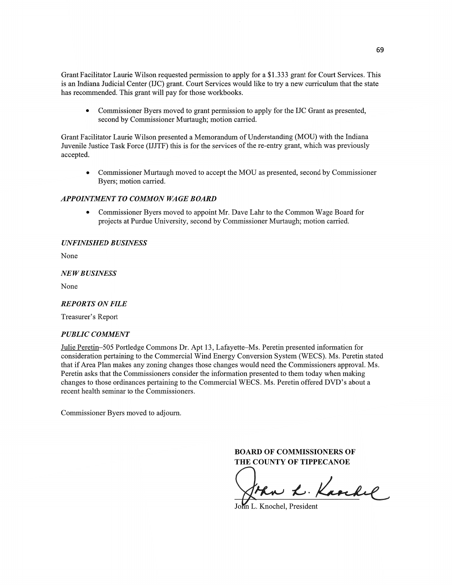Grant Facilitator Laurie Wilson requested permission to apply for a \$1.333 grant for Court Services. This is an Indiana Judicial Center (IJC) grant. Court Services would like to try a new curriculum that the state has recommended. **This** grant will pay for those workbooks.

**0** Commissioner Byers moved to grant permission to apply for the IJC Grant as presented, **second** by Commissioner Murtaugh; motion carried.

Grant Facilitator Laurie Wilson presented **a** Memorandum of Understanding (MOU) with the Indiana Juvenile Justice **Task** Force (IJJTF) this is for the services of the re-entry grant, **which** was previously accepted.

**0** Commissioner Murtaugh **moved** to accept the MOU as presented, second by Commissioner Byers; **motion** carried.

### *APPOINTMENT TO COMMON WAGE BOARD*

**0** Commissioner Byers moved to appoint Mr. Dave Lahr to the Common Wage Board for projects at Purdue University, second by Commissioner Murtaugh; motion carried.

#### *UNFINISHED BUSINESS*

None

#### NE WB *USINESS*

None

#### *REPORTS* ON *FILE*

Treasurer's Report

## *PUBLIC COMMENT*

Julie Peretin—SOS Portledge Commons Dr. Apt 13, Lafayette—Ms. Peretin presented information for consideration pertaining to the Commercial Wind Energy Conversion System (WECS). Ms. Peretin stated that if Area Plan makes any zoning changes those changes would need the Commissioners approval. Ms. Peretin asks **that** the Commissioners consider the **information** presented to them today when making changes to those ordinances pertaining to the Commercial WECS. Ms. Peretin offered DVD's about a recent health seminar to the Commissioners.

Commissioner Byers moved to adjourn.

**BOARD** OF **COMMISSIONERS** OF **THE COUNTY OF TIPPECANOE** 

ban L. Karchel

L. Knochel, President